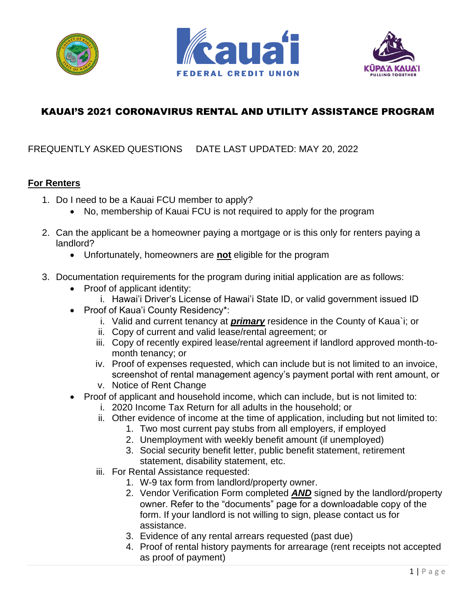





# KAUAI'S 2021 CORONAVIRUS RENTAL AND UTILITY ASSISTANCE PROGRAM

# FREQUENTLY ASKED QUESTIONS DATE LAST UPDATED: MAY 20, 2022

#### **For Renters**

- 1. Do I need to be a Kauai FCU member to apply?
	- No, membership of Kauai FCU is not required to apply for the program
- 2. Can the applicant be a homeowner paying a mortgage or is this only for renters paying a landlord?
	- Unfortunately, homeowners are **not** eligible for the program
- 3. Documentation requirements for the program during initial application are as follows:
	- Proof of applicant identity:
		- i. Hawai'i Driver's License of Hawai'i State ID, or valid government issued ID
	- Proof of Kaua'i County Residency\*:
		- i. Valid and current tenancy at *primary* residence in the County of Kaua`i; or
		- ii. Copy of current and valid lease/rental agreement; or
		- iii. Copy of recently expired lease/rental agreement if landlord approved month-tomonth tenancy; or
		- iv. Proof of expenses requested, which can include but is not limited to an invoice, screenshot of rental management agency's payment portal with rent amount, or
		- v. Notice of Rent Change
	- Proof of applicant and household income, which can include, but is not limited to:
		- i. 2020 Income Tax Return for all adults in the household; or
		- ii. Other evidence of income at the time of application, including but not limited to:
			- 1. Two most current pay stubs from all employers, if employed
			- 2. Unemployment with weekly benefit amount (if unemployed)
			- 3. Social security benefit letter, public benefit statement, retirement statement, disability statement, etc.
		- iii. For Rental Assistance requested:
			- 1. W-9 tax form from landlord/property owner.
			- 2. Vendor Verification Form completed *AND* signed by the landlord/property owner. Refer to the "documents" page for a downloadable copy of the form. If your landlord is not willing to sign, please contact us for assistance.
			- 3. Evidence of any rental arrears requested (past due)
			- 4. Proof of rental history payments for arrearage (rent receipts not accepted as proof of payment)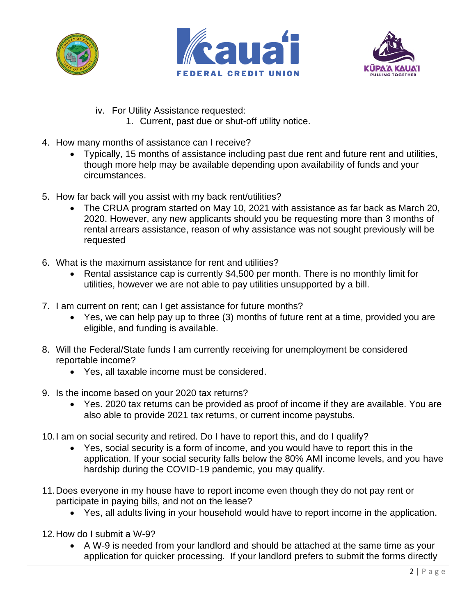





- iv. For Utility Assistance requested:
	- 1. Current, past due or shut-off utility notice.
- 4. How many months of assistance can I receive?
	- Typically, 15 months of assistance including past due rent and future rent and utilities, though more help may be available depending upon availability of funds and your circumstances.
- 5. How far back will you assist with my back rent/utilities?
	- The CRUA program started on May 10, 2021 with assistance as far back as March 20, 2020. However, any new applicants should you be requesting more than 3 months of rental arrears assistance, reason of why assistance was not sought previously will be requested
- 6. What is the maximum assistance for rent and utilities?
	- Rental assistance cap is currently \$4,500 per month. There is no monthly limit for utilities, however we are not able to pay utilities unsupported by a bill.
- 7. I am current on rent; can I get assistance for future months?
	- Yes, we can help pay up to three (3) months of future rent at a time, provided you are eligible, and funding is available.
- 8. Will the Federal/State funds I am currently receiving for unemployment be considered reportable income?
	- Yes, all taxable income must be considered.
- 9. Is the income based on your 2020 tax returns?
	- Yes. 2020 tax returns can be provided as proof of income if they are available. You are also able to provide 2021 tax returns, or current income paystubs.
- 10.I am on social security and retired. Do I have to report this, and do I qualify?
	- Yes, social security is a form of income, and you would have to report this in the application. If your social security falls below the 80% AMI income levels, and you have hardship during the COVID-19 pandemic, you may qualify.
- 11.Does everyone in my house have to report income even though they do not pay rent or participate in paying bills, and not on the lease?
	- Yes, all adults living in your household would have to report income in the application.
- 12.How do I submit a W-9?
	- A W-9 is needed from your landlord and should be attached at the same time as your application for quicker processing. If your landlord prefers to submit the forms directly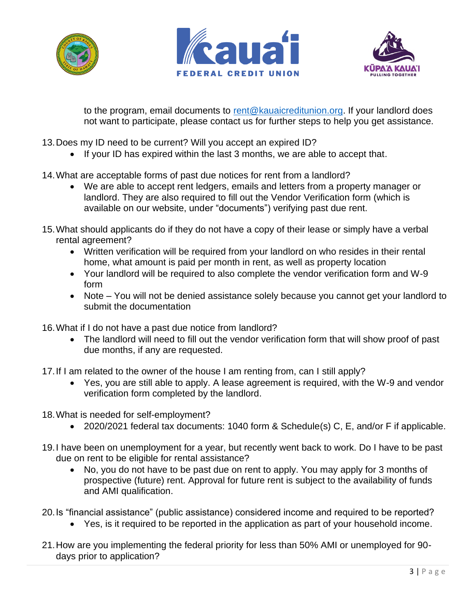





to the program, email documents to [rent@kauaicreditunion.org.](mailto:rent@kauaicreditunion.org) If your landlord does not want to participate, please contact us for further steps to help you get assistance.

- 13.Does my ID need to be current? Will you accept an expired ID?
	- If your ID has expired within the last 3 months, we are able to accept that.
- 14.What are acceptable forms of past due notices for rent from a landlord?
	- We are able to accept rent ledgers, emails and letters from a property manager or landlord. They are also required to fill out the Vendor Verification form (which is available on our website, under "documents") verifying past due rent.
- 15.What should applicants do if they do not have a copy of their lease or simply have a verbal rental agreement?
	- Written verification will be required from your landlord on who resides in their rental home, what amount is paid per month in rent, as well as property location
	- Your landlord will be required to also complete the vendor verification form and W-9 form
	- Note You will not be denied assistance solely because you cannot get your landlord to submit the documentation

16.What if I do not have a past due notice from landlord?

- The landlord will need to fill out the vendor verification form that will show proof of past due months, if any are requested.
- 17.If I am related to the owner of the house I am renting from, can I still apply?
	- Yes, you are still able to apply. A lease agreement is required, with the W-9 and vendor verification form completed by the landlord.
- 18.What is needed for self-employment?
	- 2020/2021 federal tax documents: 1040 form & Schedule(s) C, E, and/or F if applicable.
- 19.I have been on unemployment for a year, but recently went back to work. Do I have to be past due on rent to be eligible for rental assistance?
	- No, you do not have to be past due on rent to apply. You may apply for 3 months of prospective (future) rent. Approval for future rent is subject to the availability of funds and AMI qualification.
- 20.Is "financial assistance" (public assistance) considered income and required to be reported?
	- Yes, is it required to be reported in the application as part of your household income.
- 21.How are you implementing the federal priority for less than 50% AMI or unemployed for 90 days prior to application?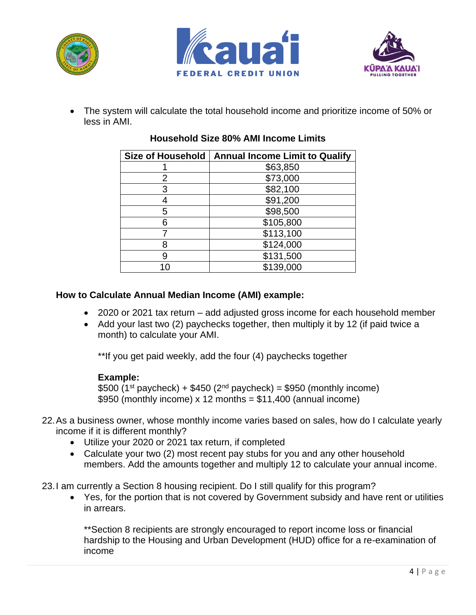





• The system will calculate the total household income and prioritize income of 50% or less in AMI.

|   | Size of Household   Annual Income Limit to Qualify |
|---|----------------------------------------------------|
|   | \$63,850                                           |
| 2 | \$73,000                                           |
| 3 | \$82,100                                           |
|   | \$91,200                                           |
| 5 | \$98,500                                           |
| 6 | \$105,800                                          |
|   | \$113,100                                          |
| 8 | \$124,000                                          |
| 9 | \$131,500                                          |
|   | \$139,000                                          |

# **Household Size 80% AMI Income Limits**

## **How to Calculate Annual Median Income (AMI) example:**

- 2020 or 2021 tax return add adjusted gross income for each household member
- Add your last two (2) paychecks together, then multiply it by 12 (if paid twice a month) to calculate your AMI.

\*\*If you get paid weekly, add the four (4) paychecks together

## **Example:**

\$500 (1<sup>st</sup> paycheck) + \$450 (2<sup>nd</sup> paycheck) = \$950 (monthly income) \$950 (monthly income)  $x$  12 months = \$11,400 (annual income)

- 22.As a business owner, whose monthly income varies based on sales, how do I calculate yearly income if it is different monthly?
	- Utilize your 2020 or 2021 tax return, if completed
	- Calculate your two (2) most recent pay stubs for you and any other household members. Add the amounts together and multiply 12 to calculate your annual income.
- 23.I am currently a Section 8 housing recipient. Do I still qualify for this program?
	- Yes, for the portion that is not covered by Government subsidy and have rent or utilities in arrears.

\*\*Section 8 recipients are strongly encouraged to report income loss or financial hardship to the Housing and Urban Development (HUD) office for a re-examination of income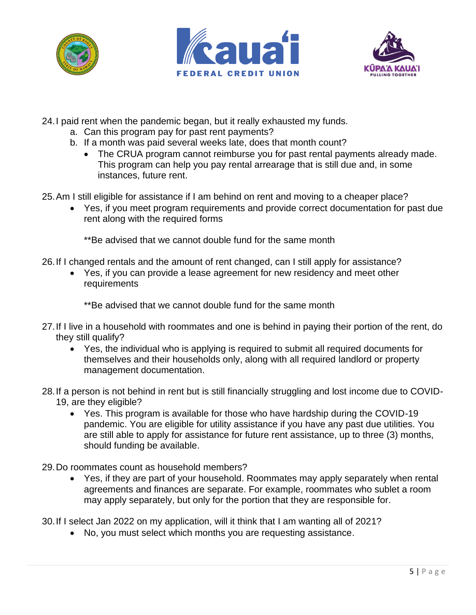





- 24.I paid rent when the pandemic began, but it really exhausted my funds.
	- a. Can this program pay for past rent payments?
	- b. If a month was paid several weeks late, does that month count?
		- The CRUA program cannot reimburse you for past rental payments already made. This program can help you pay rental arrearage that is still due and, in some instances, future rent.
- 25.Am I still eligible for assistance if I am behind on rent and moving to a cheaper place?
	- Yes, if you meet program requirements and provide correct documentation for past due rent along with the required forms

\*\*Be advised that we cannot double fund for the same month

- 26.If I changed rentals and the amount of rent changed, can I still apply for assistance?
	- Yes, if you can provide a lease agreement for new residency and meet other requirements

\*\*Be advised that we cannot double fund for the same month

- 27.If I live in a household with roommates and one is behind in paying their portion of the rent, do they still qualify?
	- Yes, the individual who is applying is required to submit all required documents for themselves and their households only, along with all required landlord or property management documentation.
- 28.If a person is not behind in rent but is still financially struggling and lost income due to COVID-19, are they eligible?
	- Yes. This program is available for those who have hardship during the COVID-19 pandemic. You are eligible for utility assistance if you have any past due utilities. You are still able to apply for assistance for future rent assistance, up to three (3) months, should funding be available.
- 29.Do roommates count as household members?
	- Yes, if they are part of your household. Roommates may apply separately when rental agreements and finances are separate. For example, roommates who sublet a room may apply separately, but only for the portion that they are responsible for.

30.If I select Jan 2022 on my application, will it think that I am wanting all of 2021?

• No, you must select which months you are requesting assistance.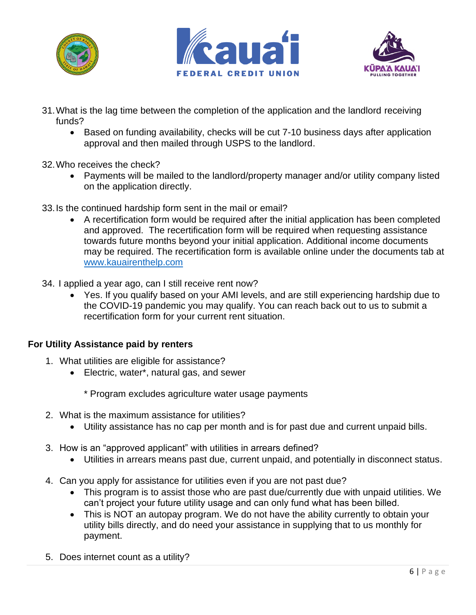





- 31.What is the lag time between the completion of the application and the landlord receiving funds?
	- Based on funding availability, checks will be cut 7-10 business days after application approval and then mailed through USPS to the landlord.
- 32.Who receives the check?
	- Payments will be mailed to the landlord/property manager and/or utility company listed on the application directly.
- 33.Is the continued hardship form sent in the mail or email?
	- A recertification form would be required after the initial application has been completed and approved. The recertification form will be required when requesting assistance towards future months beyond your initial application. Additional income documents may be required. The recertification form is available online under the documents tab at [www.kauairenthelp.com](http://www.kauairenthelp.com/)
- 34. I applied a year ago, can I still receive rent now?
	- Yes. If you qualify based on your AMI levels, and are still experiencing hardship due to the COVID-19 pandemic you may qualify. You can reach back out to us to submit a recertification form for your current rent situation.

#### **For Utility Assistance paid by renters**

- 1. What utilities are eligible for assistance?
	- Electric, water\*, natural gas, and sewer
		- \* Program excludes agriculture water usage payments
- 2. What is the maximum assistance for utilities?
	- Utility assistance has no cap per month and is for past due and current unpaid bills.
- 3. How is an "approved applicant" with utilities in arrears defined?
	- Utilities in arrears means past due, current unpaid, and potentially in disconnect status.
- 4. Can you apply for assistance for utilities even if you are not past due?
	- This program is to assist those who are past due/currently due with unpaid utilities. We can't project your future utility usage and can only fund what has been billed.
	- This is NOT an autopay program. We do not have the ability currently to obtain your utility bills directly, and do need your assistance in supplying that to us monthly for payment.
- 5. Does internet count as a utility?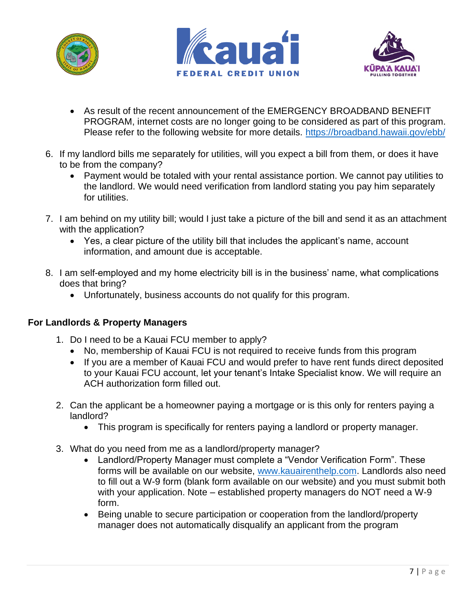





- As result of the recent announcement of the EMERGENCY BROADBAND BENEFIT PROGRAM, internet costs are no longer going to be considered as part of this program. Please refer to the following website for more details.<https://broadband.hawaii.gov/ebb/>
- 6. If my landlord bills me separately for utilities, will you expect a bill from them, or does it have to be from the company?
	- Payment would be totaled with your rental assistance portion. We cannot pay utilities to the landlord. We would need verification from landlord stating you pay him separately for utilities.
- 7. I am behind on my utility bill; would I just take a picture of the bill and send it as an attachment with the application?
	- Yes, a clear picture of the utility bill that includes the applicant's name, account information, and amount due is acceptable.
- 8. I am self-employed and my home electricity bill is in the business' name, what complications does that bring?
	- Unfortunately, business accounts do not qualify for this program.

## **For Landlords & Property Managers**

- 1. Do I need to be a Kauai FCU member to apply?
	- No, membership of Kauai FCU is not required to receive funds from this program
	- If you are a member of Kauai FCU and would prefer to have rent funds direct deposited to your Kauai FCU account, let your tenant's Intake Specialist know. We will require an ACH authorization form filled out.
- 2. Can the applicant be a homeowner paying a mortgage or is this only for renters paying a landlord?
	- This program is specifically for renters paying a landlord or property manager.
- 3. What do you need from me as a landlord/property manager?
	- Landlord/Property Manager must complete a "Vendor Verification Form". These forms will be available on our website, [www.kauairenthelp.com.](http://www.kauairenthelp.com/) Landlords also need to fill out a W-9 form (blank form available on our website) and you must submit both with your application. Note – established property managers do NOT need a W-9 form.
	- Being unable to secure participation or cooperation from the landlord/property manager does not automatically disqualify an applicant from the program